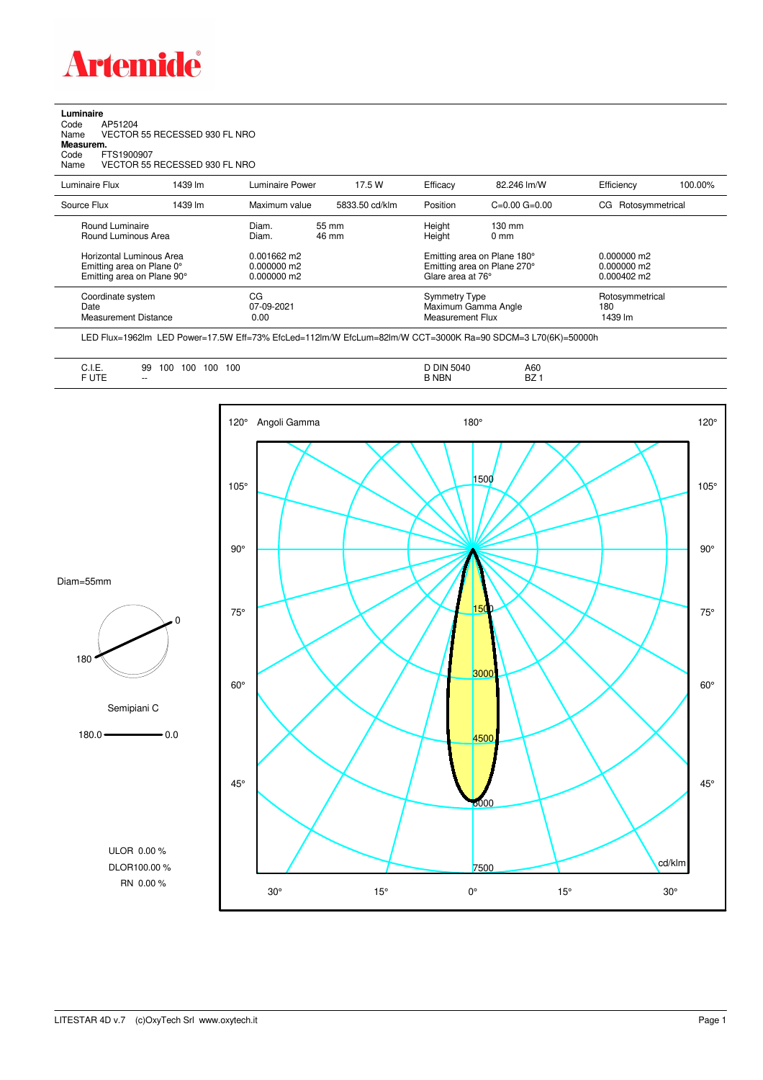

## **Luminaire**

| Code      | AP51204                       |
|-----------|-------------------------------|
| Name      | VECTOR 55 RECESSED 930 FL NRO |
| Measurem. |                               |
| Code      | FTS1900907                    |
| Name      | VECTOR 55 RECESSED 930 FL NRO |
|           |                               |

| Luminaire Flux                                                                      | 1439 lm | Luminaire Power                                 | 17.5 W         | Efficacy                                                        | 82.246 lm/W                                                | Efficiency                                             | 100.00% |
|-------------------------------------------------------------------------------------|---------|-------------------------------------------------|----------------|-----------------------------------------------------------------|------------------------------------------------------------|--------------------------------------------------------|---------|
| Source Flux                                                                         | 1439 lm | Maximum value                                   | 5833.50 cd/klm | Position                                                        | $C=0.00$ $G=0.00$                                          | Rotosymmetrical<br>CG                                  |         |
| Round Luminaire<br>Round Luminous Area                                              |         | Diam.<br>Diam.                                  | 55 mm<br>46 mm | Height<br>Height                                                | $130 \text{ mm}$<br>$0 \text{ mm}$                         |                                                        |         |
| Horizontal Luminous Area<br>Emitting area on Plane 0°<br>Emitting area on Plane 90° |         | $0.001662$ m2<br>$0.000000$ m2<br>$0.000000$ m2 |                | Glare area at 76°                                               | Emitting area on Plane 180°<br>Emitting area on Plane 270° | $0.000000$ m2<br>$0.000000$ m2<br>$0.000402 \text{ m}$ |         |
| Coordinate system<br>Date<br><b>Measurement Distance</b>                            |         | CG<br>07-09-2021<br>0.00                        |                | <b>Symmetry Type</b><br>Maximum Gamma Angle<br>Measurement Flux |                                                            | Rotosymmetrical<br>180<br>1439 lm                      |         |

LED Flux=1962lm LED Power=17.5W Eff=73% EfcLed=112lm/W EfcLum=82lm/W CCT=3000K Ra=90 SDCM=3 L70(6K)=50000h